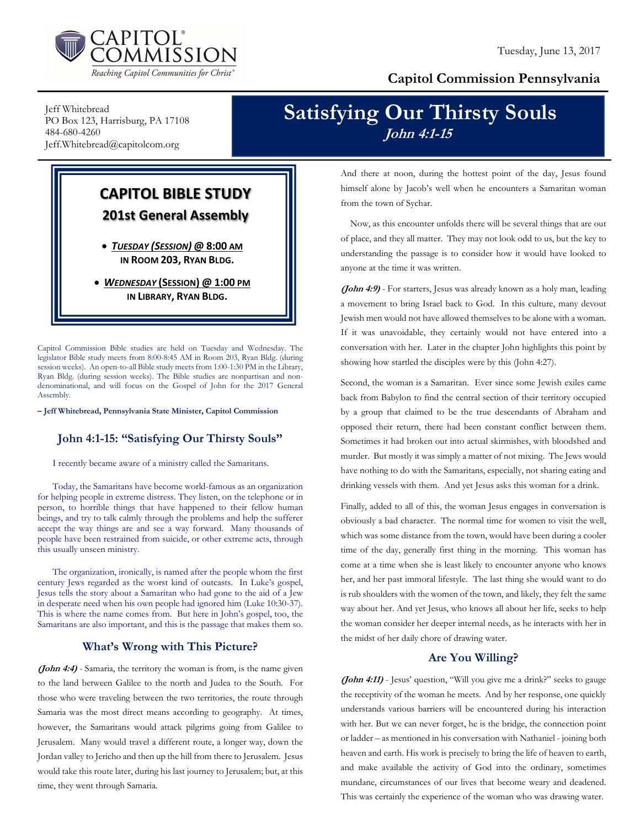

## Capitol Commission Pennsylvania

Jeff Whitebread PO Box 123, Harrisburg, PA 17108 484-680-4260 Jeff.Whitebread@capitolcom.org

## Satisfying Our Thirsty Souls John 4:1-15

# CAPITOL BIBLE STUDY 201st General Assembly

 TUESDAY (SESSION) @ 8:00 AM IN ROOM 203, RYAN BLDG.

• WEDNESDAY (SESSION) @ 1:00 PM IN LIBRARY, RYAN BLDG.

Capitol Commission Bible studies are held on Tuesday and Wednesday. The legislator Bible study meets from 8:00-8:45 AM in Room 203, Ryan Bldg. (during session weeks). An open-to-all Bible study meets from 1:00-1:30 PM in the Library, Ryan Bldg. (during session weeks). The Bible studies are nonpartisan and nondenominational, and will focus on the Gospel of John for the 2017 General Assembly.

– Jeff Whitebread, Pennsylvania State Minister, Capitol Commission

## John 4:1-15: "Satisfying Our Thirsty Souls"

I recently became aware of a ministry called the Samaritans.

Today, the Samaritans have become world-famous as an organization for helping people in extreme distress. They listen, on the telephone or in person, to horrible things that have happened to their fellow human beings, and try to talk calmly through the problems and help the sufferer accept the way things are and see a way forward. Many thousands of people have been restrained from suicide, or other extreme acts, through this usually unseen ministry.

The organization, ironically, is named after the people whom the first century Jews regarded as the worst kind of outcasts. In Luke's gospel, Jesus tells the story about a Samaritan who had gone to the aid of a Jew in desperate need when his own people had ignored him (Luke 10:30-37). This is where the name comes from. But here in John's gospel, too, the Samaritans are also important, and this is the passage that makes them so.

## What's Wrong with This Picture?

(John 4:4) - Samaria, the territory the woman is from, is the name given to the land between Galilee to the north and Judea to the South. For those who were traveling between the two territories, the route through Samaria was the most direct means according to geography. At times, however, the Samaritans would attack pilgrims going from Galilee to Jerusalem. Many would travel a different route, a longer way, down the Jordan valley to Jericho and then up the hill from there to Jerusalem. Jesus would take this route later, during his last journey to Jerusalem; but, at this time, they went through Samaria.

And there at noon, during the hottest point of the day, Jesus found himself alone by Jacob's well when he encounters a Samaritan woman from the town of Sychar.

Now, as this encounter unfolds there will be several things that are out of place, and they all matter. They may not look odd to us, but the key to understanding the passage is to consider how it would have looked to anyone at the time it was written.

(John 4:9) - For starters, Jesus was already known as a holy man, leading a movement to bring Israel back to God. In this culture, many devout Jewish men would not have allowed themselves to be alone with a woman. If it was unavoidable, they certainly would not have entered into a conversation with her. Later in the chapter John highlights this point by showing how startled the disciples were by this (John 4:27).

Second, the woman is a Samaritan. Ever since some Jewish exiles came back from Babylon to find the central section of their territory occupied by a group that claimed to be the true descendants of Abraham and opposed their return, there had been constant conflict between them. Sometimes it had broken out into actual skirmishes, with bloodshed and murder. But mostly it was simply a matter of not mixing. The Jews would have nothing to do with the Samaritans, especially, not sharing eating and drinking vessels with them. And yet Jesus asks this woman for a drink.

Finally, added to all of this, the woman Jesus engages in conversation is obviously a bad character. The normal time for women to visit the well, which was some distance from the town, would have been during a cooler time of the day, generally first thing in the morning. This woman has come at a time when she is least likely to encounter anyone who knows her, and her past immoral lifestyle. The last thing she would want to do is rub shoulders with the women of the town, and likely, they felt the same way about her. And yet Jesus, who knows all about her life, seeks to help the woman consider her deeper internal needs, as he interacts with her in the midst of her daily chore of drawing water.

## Are You Willing?

(John 4:11) - Jesus' question, "Will you give me a drink?" seeks to gauge the receptivity of the woman he meets. And by her response, one quickly understands various barriers will be encountered during his interaction with her. But we can never forget, he is the bridge, the connection point or ladder – as mentioned in his conversation with Nathaniel - joining both heaven and earth. His work is precisely to bring the life of heaven to earth, and make available the activity of God into the ordinary, sometimes mundane, circumstances of our lives that become weary and deadened. This was certainly the experience of the woman who was drawing water.